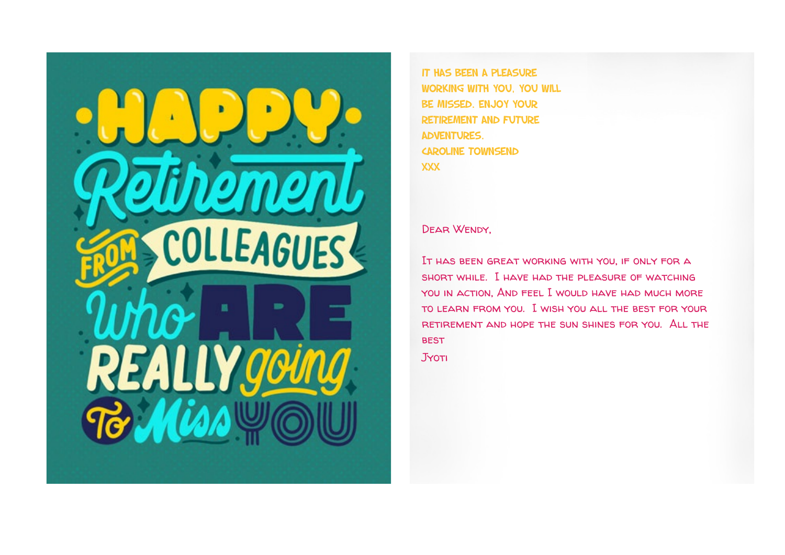

It has been a pleasure working with you, you will be missed. enjoy your retirement and future adventures. caroline townsend XXX

#### Dear Wendy,

It has been great working with you, if only for a short while. I have had the pleasure of watching you in action, And feel I would have had much more to learn from you. I wish you all the best for your retirement and hope the sun shines for you. All the **BEST** 

Jyoti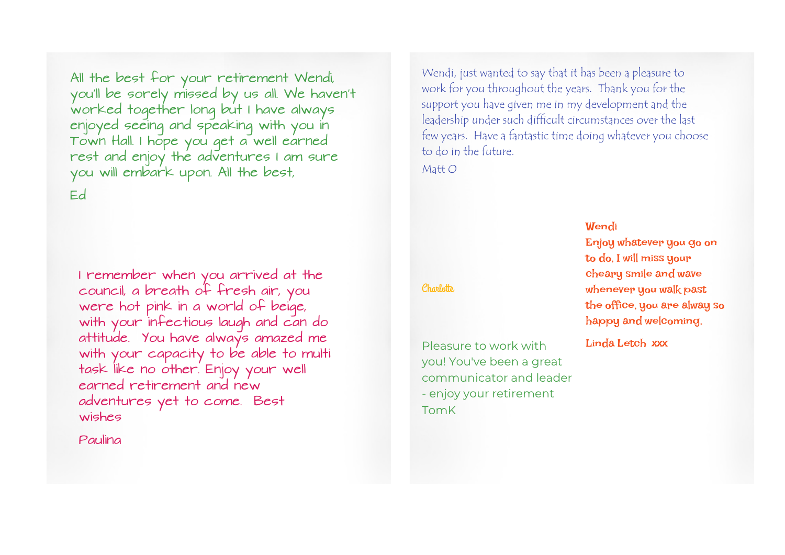All the best for your retirement Wendi, you'll be sorely missed by us all. We haven't worked together long but I have always enjoyed seeing and speaking with you in Town Hall. I hope you get a well earned rest and enjoy the adventures I am sure you will embark upon. All the best, Ed

I remember when you arrived at the council, a breath of fresh air, you were hot pink in a world of beige, with your infectious laugh and can do attitude. You have always amazed me with your capacity to be able to multi task like no other. Enjoy your well earned retirement and new adventures yet to come. Best wishes

Paulina

Wendi, just wanted to say that it has been a pleasure to work for you throughout the years. Thank you for the support you have given me in my development and the leadership under such difficult circumstances over the last few years. Have a fantastic time doing whatever you choose to do in the future.

Matt O

#### **Wendi**

Enjoy whatever you go on to do, I will miss your cheary smile and wave whenever you walk past the office, you are alway so happy and welcoming.

Linda Letch xxx

# Charlotte

Pleasure to work with you! You've been a great communicator and leader - enjoy your retirement TomK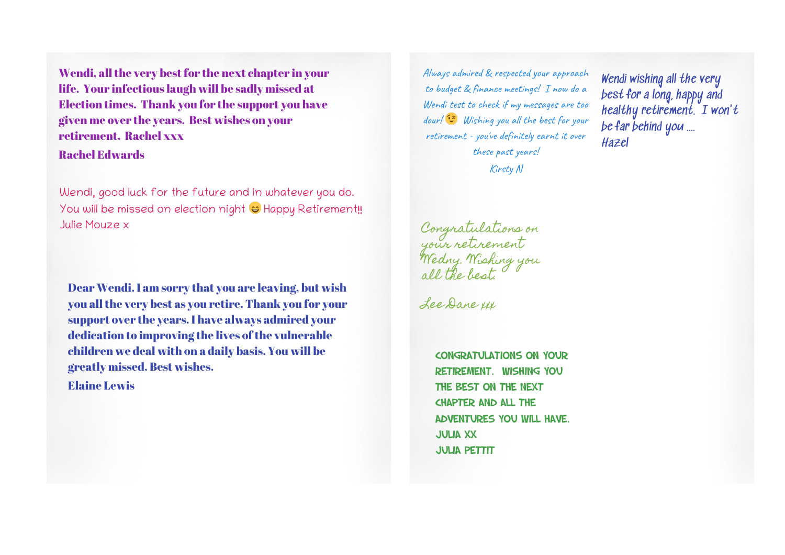Wendi, all the very best for the next chapter in your life. Your infectious laugh will be sadly missed at Election times. Thank you for the support you have given me over the years. Best wishes on your retirement. Rachel xxx Rachel Edwards

Wendi, good luck for the future and in whatever you do. You will be missed on election night  $\ominus$  Happy Retirement!! Julie Mouze x

Dear Wendi. I am sorry that you are leaving, but wish you all the very best as you retire. Thank you for your support over the years. I have always admired your dedication to improving the lives of the vulnerable children we deal with on a daily basis. You will be greatly missed. Best wishes.

Elaine Lewis

Always admired & respected your approach to budget & finance meetings! I now do a Wendi test to check if my messages are too dour! Wishing you all the best for your retirement - you've definitely earnt it over these past years!

Kirsty N

Congratulations on your retirement Wedny. Wishing you all the best.

Lee Dane xxx

Congratulations on your retirement. Wishing you the best on the next chapter and all the adventures you will have. Julia xx **JULIA PETTIT** 

Wendi wishing all the very best for a long, happy and healthy retirement.  $I$  won't be far behind you .... Hazel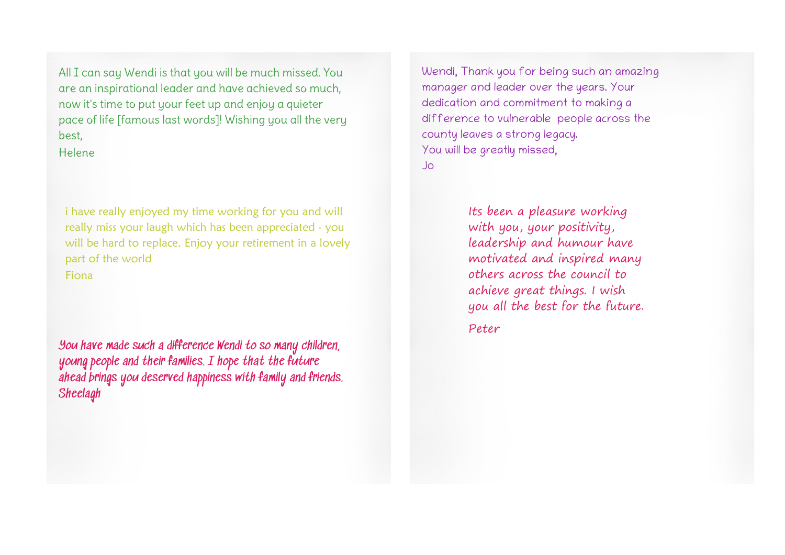All I can say Wendi is that you will be much missed. You are an inspirational leader and have achieved so much, now it's time to put your feet up and enjoy a quieter pace of life [famous last words]! Wishing you all the very best,

Helene

i have really enjoyed my time working for you and will really miss your laugh which has been appreciated - you will be hard to replace. Enjoy your retirement in a lovely part of the world Fiona

You have made such a difference Wendi to so many children, young people and their families. I hope that the future ahead brings you deserved happiness with family and friends. Sheelagh

Wendi, Thank you for being such an amazing manager and leader over the years. Your dedication and commitment to making a difference to vulnerable people across the county leaves a strong legacy. You will be greatly missed, Jo

> Its been a pleasure working with you, your positivity, leadership and humour have motivated and inspired many others across the council to achieve great things. I wish you all the best for the future.

Peter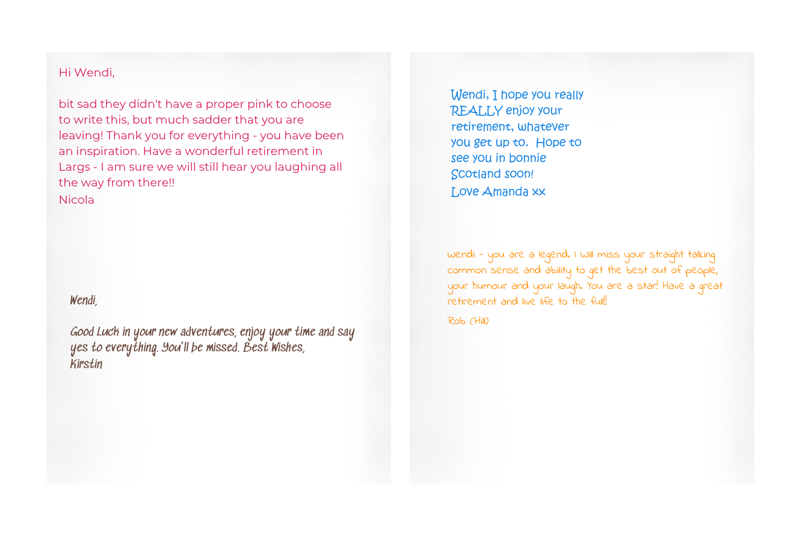### Hi Wendi,

bit sad they didn't have a proper pink to choose to write this, but much sadder that you are leaving! Thank you for everything - you have been an inspiration. Have a wonderful retirement in Largs - I am sure we will still hear you laughing all the way from there!!

Nicola

# Wendi,

Good Luck in your new adventures, enjoy your time and say yes to everything. You'll be missed. Best Wishes, Kirstin

Wendi, I hope you really REALLY enjoy your retirement, whatever you get up to. Hope to see you in bonnie Scotland soon! Love Amanda xx

Wendi - you are a legend. I WIll miss your straight talking common sense and ability to get the best out of people, your humour and your laugh. You are a star! Have a great retirement and live life to the full!

Rob (Hill)